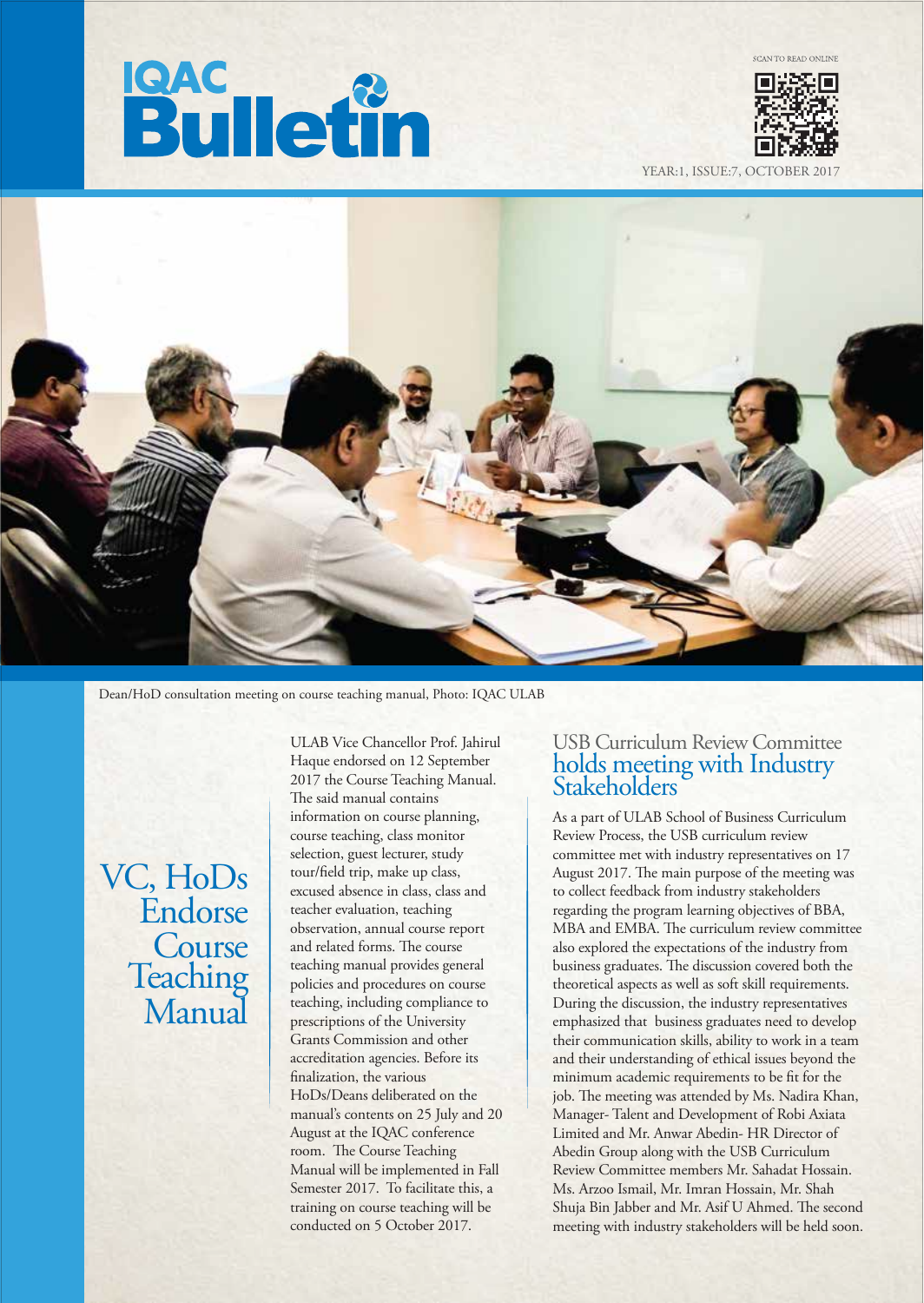# **Bulletin**



YEAR:1, ISSUE:7, OCTOBEI



Dean/HoD consultation meeting on course teaching manual, Photo: IQAC ULAB

VC, HoDs Endorse **Course Teaching** Manual

ULAB Vice Chancellor Prof. Jahirul Haque endorsed on 12 September 2017 the Course Teaching Manual. The said manual contains information on course planning, course teaching, class monitor selection, guest lecturer, study tour/field trip, make up class, excused absence in class, class and teacher evaluation, teaching observation, annual course report and related forms. The course teaching manual provides general policies and procedures on course teaching, including compliance to prescriptions of the University Grants Commission and other accreditation agencies. Before its finalization, the various HoDs/Deans deliberated on the manual's contents on 25 July and 20 August at the IQAC conference room. The Course Teaching Manual will be implemented in Fall Semester 2017. To facilitate this, a training on course teaching will be conducted on 5 October 2017.

# USB Curriculum Review Committee holds meeting with Industry Stakeholders

As a part of ULAB School of Business Curriculum Review Process, the USB curriculum review committee met with industry representatives on 17 August 2017. The main purpose of the meeting was to collect feedback from industry stakeholders regarding the program learning objectives of BBA, MBA and EMBA. The curriculum review committee also explored the expectations of the industry from business graduates. The discussion covered both the theoretical aspects as well as soft skill requirements. During the discussion, the industry representatives emphasized that business graduates need to develop their communication skills, ability to work in a team and their understanding of ethical issues beyond the minimum academic requirements to be fit for the job. The meeting was attended by Ms. Nadira Khan, Manager- Talent and Development of Robi Axiata Limited and Mr. Anwar Abedin- HR Director of Abedin Group along with the USB Curriculum Review Committee members Mr. Sahadat Hossain. Ms. Arzoo Ismail, Mr. Imran Hossain, Mr. Shah Shuja Bin Jabber and Mr. Asif U Ahmed. The second meeting with industry stakeholders will be held soon.